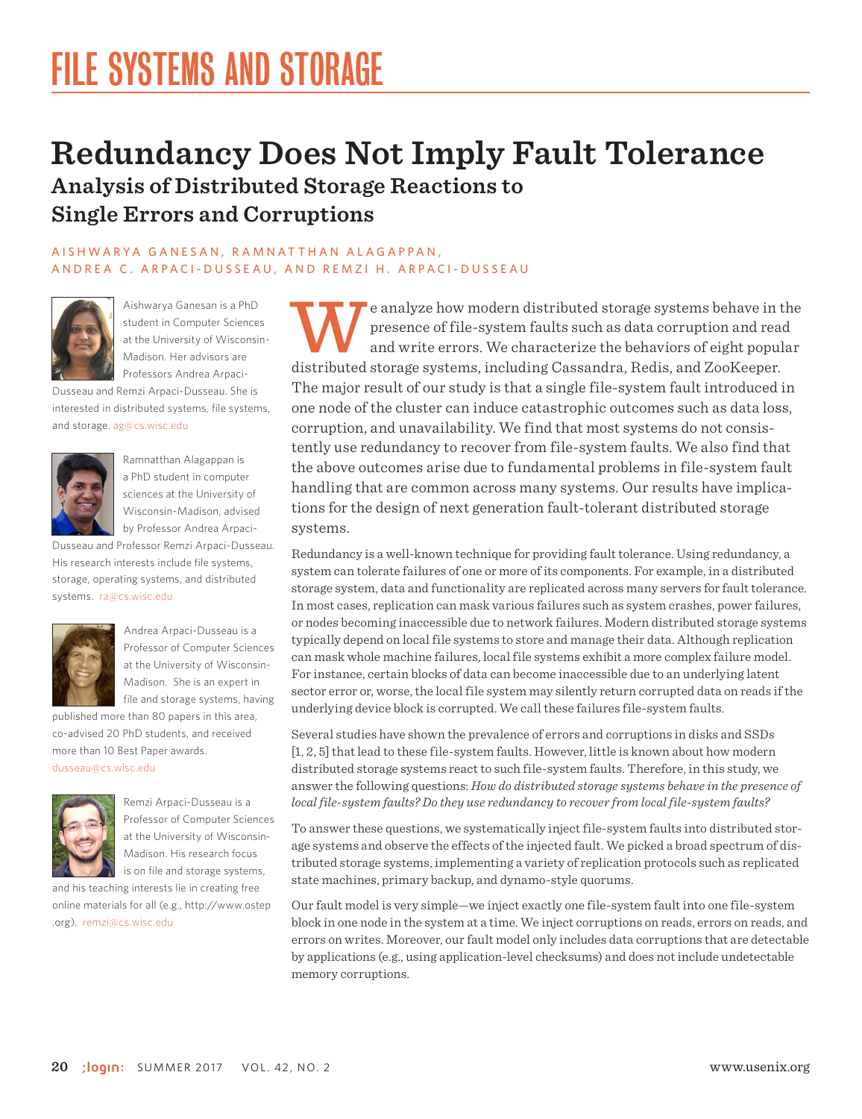## **Redundancy Does Not Imply Fault Tolerance Analysis of Distributed Storage Reactions to Single Errors and Corruptions**

#### A I SH W A R Y A G A N E S A N , R A M N A T T H A N A L A G A P P A N , ANDREA C. ARPACI-DUSSEAU, AND REMZI H. ARPACI-DUSSEAU



Aishwarya Ganesan is a PhD student in Computer Sciences at the University of Wisconsin-Madison. Her advisors are Professors Andrea Arpaci-

Dusseau and Remzi Arpaci-Dusseau. She is interested in distributed systems, file systems, and storage. ag@cs.wisc.edu



Ramnatthan Alagappan is a PhD student in computer sciences at the University of Wisconsin-Madison, advised by Professor Andrea Arpaci-

Dusseau and Professor Remzi Arpaci-Dusseau. His research interests include file systems, storage, operating systems, and distributed systems. ra@cs.wisc.edu



Andrea Arpaci-Dusseau is a Professor of Computer Sciences at the University of Wisconsin-Madison. She is an expert in file and storage systems, having

published more than 80 papers in this area, co-advised 20 PhD students, and received more than 10 Best Paper awards. dusseau@cs.wisc.edu



Remzi Arpaci-Dusseau is a Professor of Computer Sciences at the University of Wisconsin-Madison. His research focus is on file and storage systems,

and his teaching interests lie in creating free online materials for all (e.g., [http://www.ostep](http://www.ostep​.org) [.org](http://www.ostep​.org)). remzi@cs.wisc.edu

e analyze how modern distributed storage systems behave in the presence of file-system faults such as data corruption and read and write errors. We characterize the behaviors of eight popular distributed storage systems, including Cassandra, Redis, and ZooKeeper. The major result of our study is that a single file-system fault introduced in one node of the cluster can induce catastrophic outcomes such as data loss, corruption, and unavailability. We find that most systems do not consistently use redundancy to recover from file-system faults. We also find that the above outcomes arise due to fundamental problems in file-system fault handling that are common across many systems. Our results have implications for the design of next generation fault-tolerant distributed storage systems.

Redundancy is a well-known technique for providing fault tolerance. Using redundancy, a system can tolerate failures of one or more of its components. For example, in a distributed storage system, data and functionality are replicated across many servers for fault tolerance. In most cases, replication can mask various failures such as system crashes, power failures, or nodes becoming inaccessible due to network failures. Modern distributed storage systems typically depend on local file systems to store and manage their data. Although replication can mask whole machine failures, local file systems exhibit a more complex failure model. For instance, certain blocks of data can become inaccessible due to an underlying latent sector error or, worse, the local file system may silently return corrupted data on reads if the underlying device block is corrupted. We call these failures file-system faults.

Several studies have shown the prevalence of errors and corruptions in disks and SSDs [1, 2, 5] that lead to these file-system faults. However, little is known about how modern distributed storage systems react to such file-system faults. Therefore, in this study, we answer the following questions: *How do distributed storage systems behave in the presence of local file-system faults? Do they use redundancy to recover from local file-system faults?*

To answer these questions, we systematically inject file-system faults into distributed storage systems and observe the effects of the injected fault. We picked a broad spectrum of distributed storage systems, implementing a variety of replication protocols such as replicated state machines, primary backup, and dynamo-style quorums.

Our fault model is very simple—we inject exactly one file-system fault into one file-system block in one node in the system at a time. We inject corruptions on reads, errors on reads, and errors on writes. Moreover, our fault model only includes data corruptions that are detectable by applications (e.g., using application-level checksums) and does not include undetectable memory corruptions.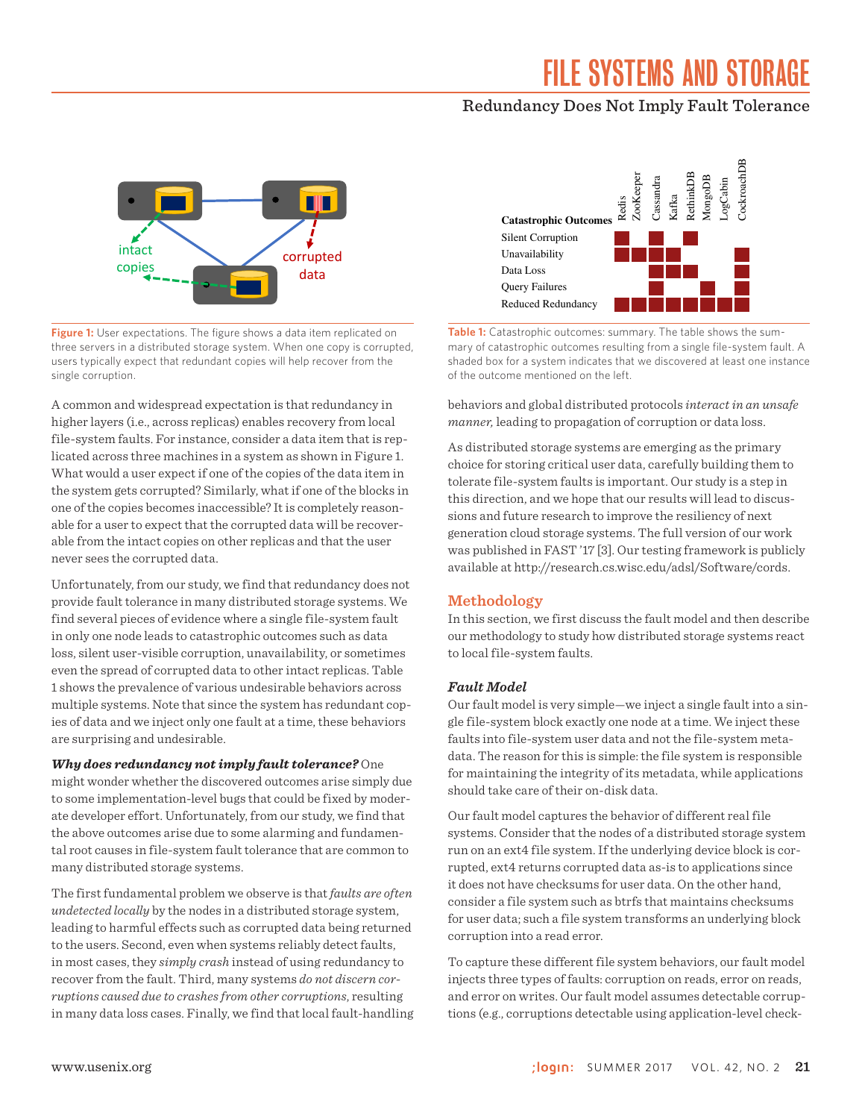### Redundancy Does Not Imply Fault Tolerance



**Figure 1:** User expectations. The figure shows a data item replicated on three servers in a distributed storage system. When one copy is corrupted, users typically expect that redundant copies will help recover from the single corruption.

A common and widespread expectation is that redundancy in higher layers (i.e., across replicas) enables recovery from local file-system faults. For instance, consider a data item that is replicated across three machines in a system as shown in Figure 1. What would a user expect if one of the copies of the data item in the system gets corrupted? Similarly, what if one of the blocks in one of the copies becomes inaccessible? It is completely reasonable for a user to expect that the corrupted data will be recoverable from the intact copies on other replicas and that the user never sees the corrupted data.

Unfortunately, from our study, we find that redundancy does not provide fault tolerance in many distributed storage systems. We find several pieces of evidence where a single file-system fault in only one node leads to catastrophic outcomes such as data loss, silent user-visible corruption, unavailability, or sometimes even the spread of corrupted data to other intact replicas. Table 1 shows the prevalence of various undesirable behaviors across multiple systems. Note that since the system has redundant copies of data and we inject only one fault at a time, these behaviors are surprising and undesirable.

#### *Why does redundancy not imply fault tolerance?* One

might wonder whether the discovered outcomes arise simply due to some implementation-level bugs that could be fixed by moderate developer effort. Unfortunately, from our study, we find that the above outcomes arise due to some alarming and fundamental root causes in file-system fault tolerance that are common to many distributed storage systems.

The first fundamental problem we observe is that *faults are often undetected locally* by the nodes in a distributed storage system, leading to harmful effects such as corrupted data being returned to the users. Second, even when systems reliably detect faults, in most cases, they *simply crash* instead of using redundancy to recover from the fault. Third, many systems *do not discern corruptions caused due to crashes from other corruptions*, resulting in many data loss cases. Finally, we find that local fault-handling



**Table 1:** Catastrophic outcomes: summary. The table shows the summary of catastrophic outcomes resulting from a single file-system fault. A shaded box for a system indicates that we discovered at least one instance of the outcome mentioned on the left.

behaviors and global distributed protocols *interact in an unsafe manner,* leading to propagation of corruption or data loss.

As distributed storage systems are emerging as the primary choice for storing critical user data, carefully building them to tolerate file-system faults is important. Our study is a step in this direction, and we hope that our results will lead to discussions and future research to improve the resiliency of next generation cloud storage systems. The full version of our work was published in FAST '17 [3]. Our testing framework is publicly available at [http://research.cs.wisc.edu/adsl/Software/cords.](http://research.cs.wisc.edu/adsl/Software/cords)

#### **Methodology**

In this section, we first discuss the fault model and then describe our methodology to study how distributed storage systems react to local file-system faults.

#### *Fault Model*

Our fault model is very simple—we inject a single fault into a single file-system block exactly one node at a time. We inject these faults into file-system user data and not the file-system metadata. The reason for this is simple: the file system is responsible for maintaining the integrity of its metadata, while applications should take care of their on-disk data.

Our fault model captures the behavior of different real file systems. Consider that the nodes of a distributed storage system run on an ext4 file system. If the underlying device block is corrupted, ext4 returns corrupted data as-is to applications since it does not have checksums for user data. On the other hand, consider a file system such as btrfs that maintains checksums for user data; such a file system transforms an underlying block corruption into a read error.

To capture these different file system behaviors, our fault model injects three types of faults: corruption on reads, error on reads, and error on writes. Our fault model assumes detectable corruptions (e.g., corruptions detectable using application-level check-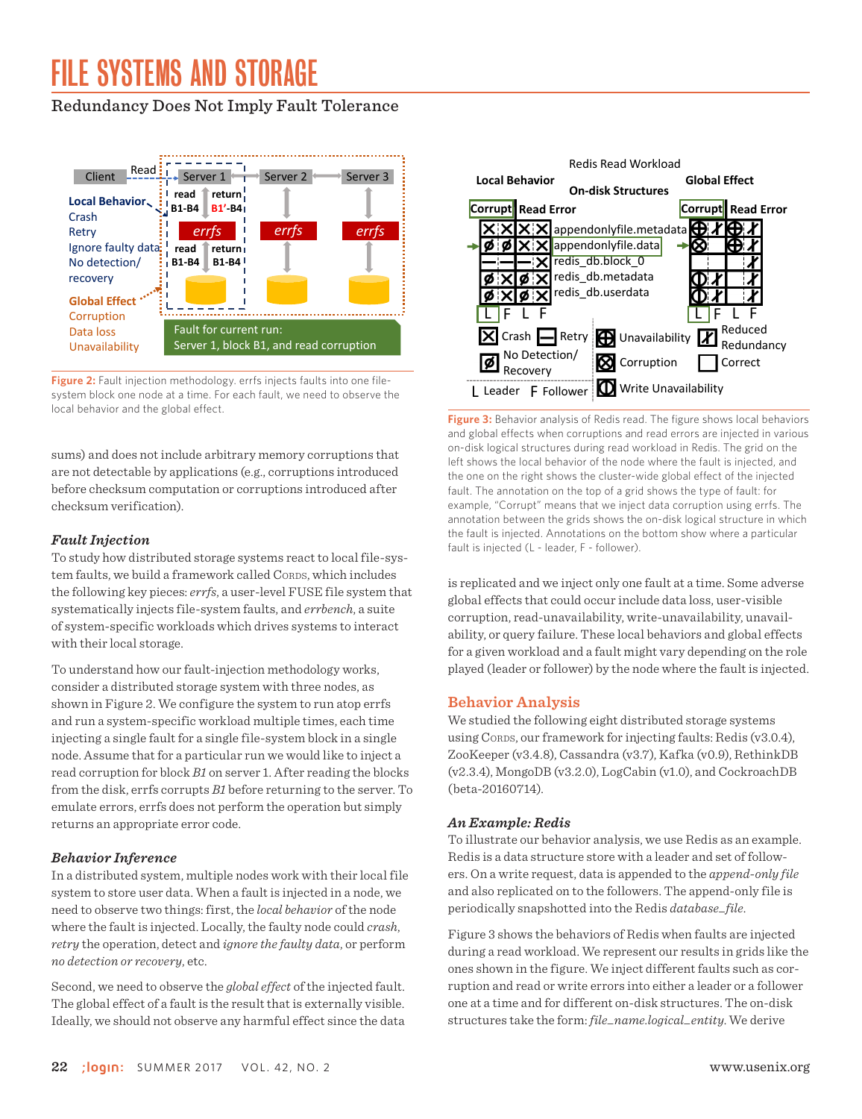### Redundancy Does Not Imply Fault Tolerance



Figure 2: Fault injection methodology. errfs injects faults into one filesystem block one node at a time. For each fault, we need to observe the local behavior and the global effect.

sums) and does not include arbitrary memory corruptions that are not detectable by applications (e.g., corruptions introduced before checksum computation or corruptions introduced after checksum verification).

#### *Fault Injection*

To study how distributed storage systems react to local file-system faults, we build a framework called CORDS, which includes the following key pieces: *errfs*, a user-level FUSE file system that systematically injects file-system faults, and *errbench*, a suite of system-specific workloads which drives systems to interact with their local storage.

To understand how our fault-injection methodology works, consider a distributed storage system with three nodes, as shown in Figure 2. We configure the system to run atop errfs and run a system-specific workload multiple times, each time injecting a single fault for a single file-system block in a single node. Assume that for a particular run we would like to inject a read corruption for block *B1* on server 1. After reading the blocks from the disk, errfs corrupts *B1* before returning to the server. To emulate errors, errfs does not perform the operation but simply returns an appropriate error code.

#### *Behavior Inference*

In a distributed system, multiple nodes work with their local file system to store user data. When a fault is injected in a node, we need to observe two things: first, the *local behavior* of the node where the fault is injected. Locally, the faulty node could *crash*, *retry* the operation, detect and *ignore the faulty data*, or perform *no detection or recovery*, etc.

Second, we need to observe the *global effect* of the injected fault. The global effect of a fault is the result that is externally visible. Ideally, we should not observe any harmful effect since the data



**Figure 3:** Behavior analysis of Redis read. The figure shows local behaviors and global effects when corruptions and read errors are injected in various on-disk logical structures during read workload in Redis. The grid on the left shows the local behavior of the node where the fault is injected, and the one on the right shows the cluster-wide global effect of the injected fault. The annotation on the top of a grid shows the type of fault: for example, "Corrupt" means that we inject data corruption using errfs. The annotation between the grids shows the on-disk logical structure in which the fault is injected. Annotations on the bottom show where a particular fault is injected (L - leader, F - follower).

is replicated and we inject only one fault at a time. Some adverse global effects that could occur include data loss, user-visible corruption, read-unavailability, write-unavailability, unavailability, or query failure. These local behaviors and global effects for a given workload and a fault might vary depending on the role played (leader or follower) by the node where the fault is injected.

#### **Behavior Analysis**

We studied the following eight distributed storage systems using CORDS, our framework for injecting faults: Redis (v3.0.4), ZooKeeper (v3.4.8), Cassandra (v3.7), Kafka (v0.9), RethinkDB (v2.3.4), MongoDB (v3.2.0), LogCabin (v1.0), and CockroachDB (beta-20160714).

#### *An Example: Redis*

To illustrate our behavior analysis, we use Redis as an example. Redis is a data structure store with a leader and set of followers. On a write request, data is appended to the *append-only file* and also replicated on to the followers. The append-only file is periodically snapshotted into the Redis *database\_file*.

Figure 3 shows the behaviors of Redis when faults are injected during a read workload. We represent our results in grids like the ones shown in the figure. We inject different faults such as corruption and read or write errors into either a leader or a follower one at a time and for different on-disk structures. The on-disk structures take the form: *file\_name.logical\_entity*. We derive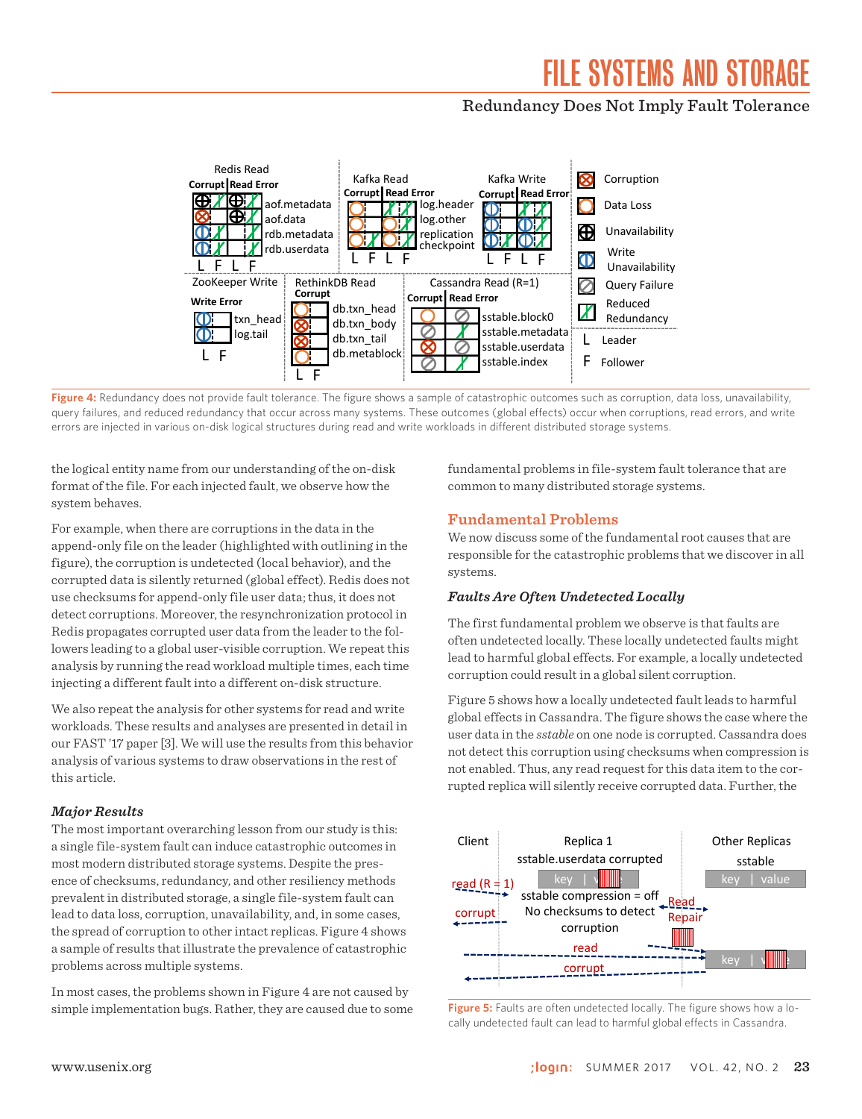### Redundancy Does Not Imply Fault Tolerance



**Figure 4:** Redundancy does not provide fault tolerance. The figure shows a sample of catastrophic outcomes such as corruption, data loss, unavailability, query failures, and reduced redundancy that occur across many systems. These outcomes (global effects) occur when corruptions, read errors, and write errors are injected in various on-disk logical structures during read and write workloads in different distributed storage systems.

the logical entity name from our understanding of the on-disk format of the file. For each injected fault, we observe how the system behaves.

For example, when there are corruptions in the data in the append-only file on the leader (highlighted with outlining in the figure), the corruption is undetected (local behavior), and the corrupted data is silently returned (global effect). Redis does not use checksums for append-only file user data; thus, it does not detect corruptions. Moreover, the resynchronization protocol in Redis propagates corrupted user data from the leader to the followers leading to a global user-visible corruption. We repeat this analysis by running the read workload multiple times, each time injecting a different fault into a different on-disk structure.

We also repeat the analysis for other systems for read and write workloads. These results and analyses are presented in detail in our FAST '17 paper [3]. We will use the results from this behavior analysis of various systems to draw observations in the rest of this article.

#### *Major Results*

The most important overarching lesson from our study is this: a single file-system fault can induce catastrophic outcomes in most modern distributed storage systems. Despite the presence of checksums, redundancy, and other resiliency methods prevalent in distributed storage, a single file-system fault can lead to data loss, corruption, unavailability, and, in some cases, the spread of corruption to other intact replicas. Figure 4 shows a sample of results that illustrate the prevalence of catastrophic problems across multiple systems.

In most cases, the problems shown in Figure 4 are not caused by simple implementation bugs. Rather, they are caused due to some fundamental problems in file-system fault tolerance that are common to many distributed storage systems.

#### **Fundamental Problems**

We now discuss some of the fundamental root causes that are responsible for the catastrophic problems that we discover in all systems.

#### *Faults Are Often Undetected Locally*

The first fundamental problem we observe is that faults are often undetected locally. These locally undetected faults might lead to harmful global effects. For example, a locally undetected corruption could result in a global silent corruption.

Figure 5 shows how a locally undetected fault leads to harmful global effects in Cassandra. The figure shows the case where the user data in the *sstable* on one node is corrupted. Cassandra does not detect this corruption using checksums when compression is not enabled. Thus, any read request for this data item to the corrupted replica will silently receive corrupted data. Further, the



**Figure 5:** Faults are often undetected locally. The figure shows how a locally undetected fault can lead to harmful global effects in Cassandra.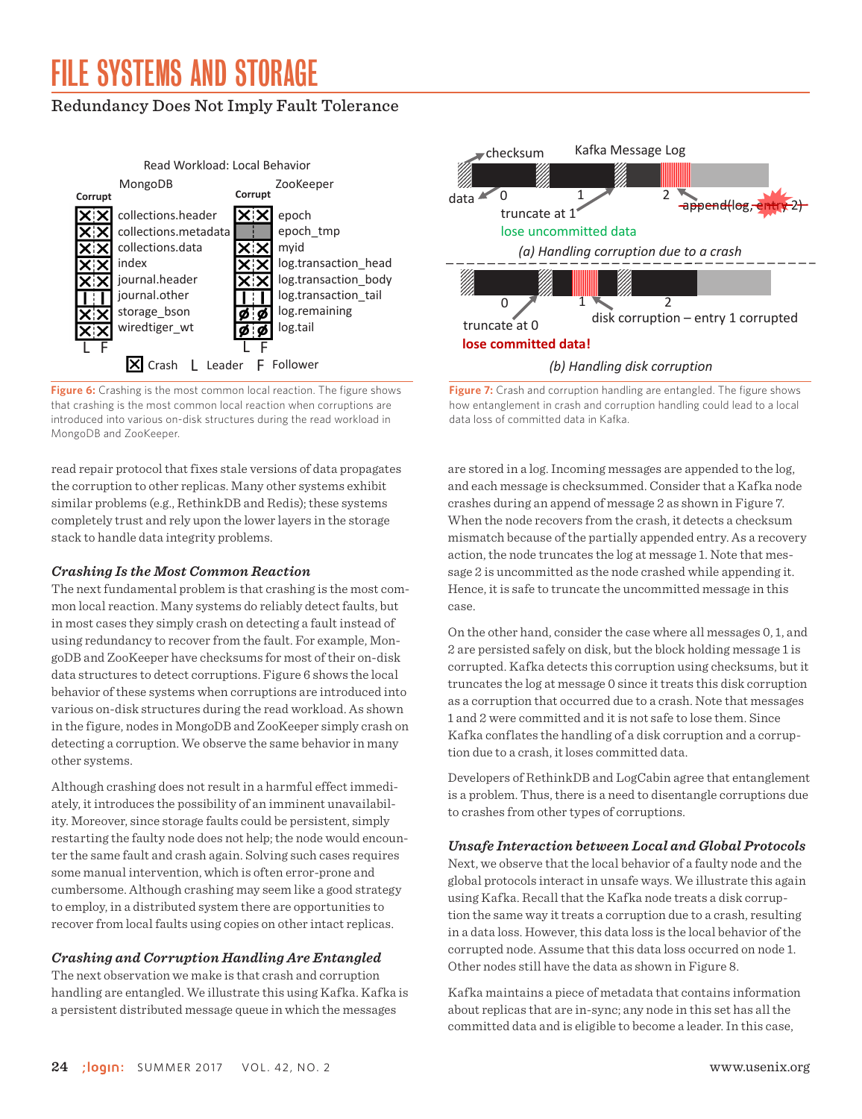### Redundancy Does Not Imply Fault Tolerance



**Figure 6:** Crashing is the most common local reaction. The figure shows that crashing is the most common local reaction when corruptions are introduced into various on-disk structures during the read workload in MongoDB and ZooKeeper.

read repair protocol that fixes stale versions of data propagates the corruption to other replicas. Many other systems exhibit similar problems (e.g., RethinkDB and Redis); these systems completely trust and rely upon the lower layers in the storage stack to handle data integrity problems.

#### *Crashing Is the Most Common Reaction*

The next fundamental problem is that crashing is the most common local reaction. Many systems do reliably detect faults, but in most cases they simply crash on detecting a fault instead of using redundancy to recover from the fault. For example, MongoDB and ZooKeeper have checksums for most of their on-disk data structures to detect corruptions. Figure 6 shows the local behavior of these systems when corruptions are introduced into various on-disk structures during the read workload. As shown in the figure, nodes in MongoDB and ZooKeeper simply crash on detecting a corruption. We observe the same behavior in many other systems.

Although crashing does not result in a harmful effect immediately, it introduces the possibility of an imminent unavailability. Moreover, since storage faults could be persistent, simply restarting the faulty node does not help; the node would encounter the same fault and crash again. Solving such cases requires some manual intervention, which is often error-prone and cumbersome. Although crashing may seem like a good strategy to employ, in a distributed system there are opportunities to recover from local faults using copies on other intact replicas.

#### *Crashing and Corruption Handling Are Entangled*

The next observation we make is that crash and corruption handling are entangled. We illustrate this using Kafka. Kafka is a persistent distributed message queue in which the messages



**Figure 7:** Crash and corruption handling are entangled. The figure shows how entanglement in crash and corruption handling could lead to a local data loss of committed data in Kafka.

are stored in a log. Incoming messages are appended to the log, and each message is checksummed. Consider that a Kafka node crashes during an append of message 2 as shown in Figure 7. When the node recovers from the crash, it detects a checksum mismatch because of the partially appended entry. As a recovery action, the node truncates the log at message 1. Note that message 2 is uncommitted as the node crashed while appending it. Hence, it is safe to truncate the uncommitted message in this case.

On the other hand, consider the case where all messages 0, 1, and 2 are persisted safely on disk, but the block holding message 1 is corrupted. Kafka detects this corruption using checksums, but it truncates the log at message 0 since it treats this disk corruption as a corruption that occurred due to a crash. Note that messages 1 and 2 were committed and it is not safe to lose them. Since Kafka conflates the handling of a disk corruption and a corruption due to a crash, it loses committed data.

Developers of RethinkDB and LogCabin agree that entanglement is a problem. Thus, there is a need to disentangle corruptions due to crashes from other types of corruptions.

#### *Unsafe Interaction between Local and Global Protocols*

Next, we observe that the local behavior of a faulty node and the global protocols interact in unsafe ways. We illustrate this again using Kafka. Recall that the Kafka node treats a disk corruption the same way it treats a corruption due to a crash, resulting in a data loss. However, this data loss is the local behavior of the corrupted node. Assume that this data loss occurred on node 1. Other nodes still have the data as shown in Figure 8.

Kafka maintains a piece of metadata that contains information about replicas that are in-sync; any node in this set has all the committed data and is eligible to become a leader. In this case,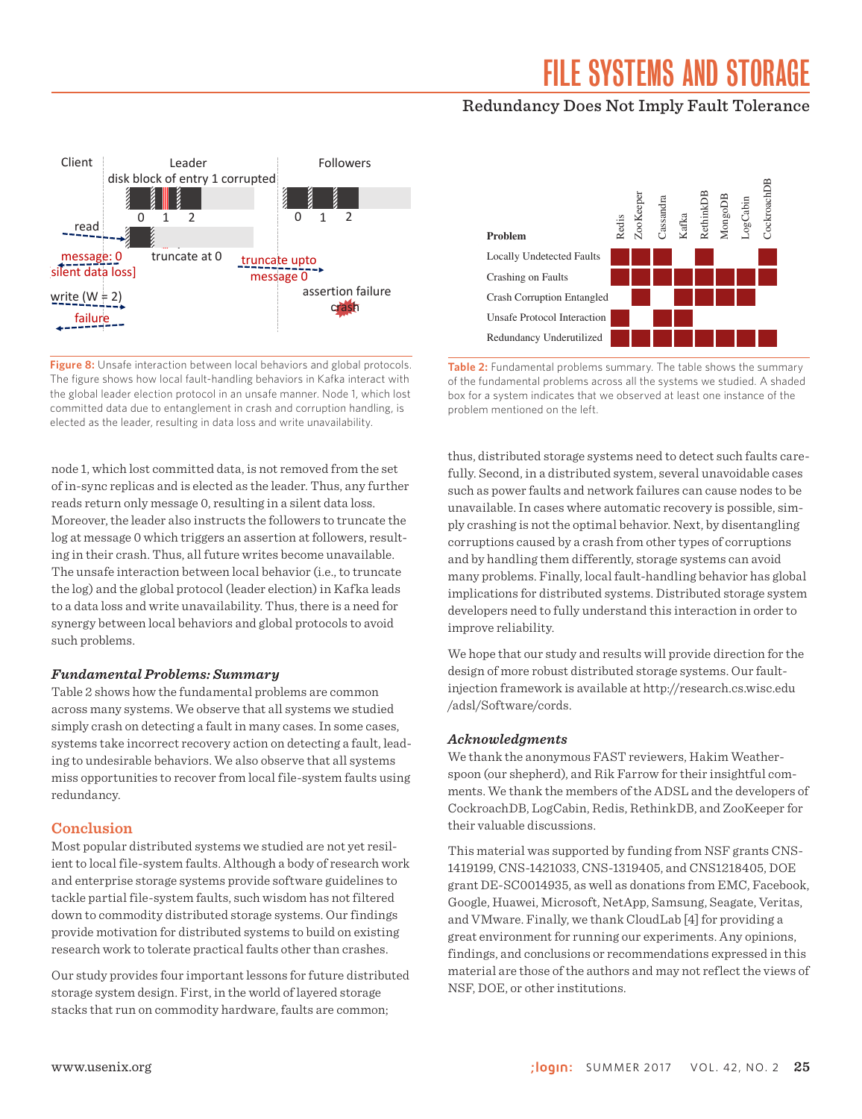### Redundancy Does Not Imply Fault Tolerance



**Figure 8:** Unsafe interaction between local behaviors and global protocols. The figure shows how local fault-handling behaviors in Kafka interact with the global leader election protocol in an unsafe manner. Node 1, which lost committed data due to entanglement in crash and corruption handling, is elected as the leader, resulting in data loss and write unavailability.

node 1, which lost committed data, is not removed from the set of in-sync replicas and is elected as the leader. Thus, any further reads return only message 0, resulting in a silent data loss. Moreover, the leader also instructs the followers to truncate the log at message 0 which triggers an assertion at followers, resulting in their crash. Thus, all future writes become unavailable. The unsafe interaction between local behavior (i.e., to truncate the log) and the global protocol (leader election) in Kafka leads to a data loss and write unavailability. Thus, there is a need for synergy between local behaviors and global protocols to avoid such problems.

#### *Fundamental Problems: Summary*

Table 2 shows how the fundamental problems are common across many systems. We observe that all systems we studied simply crash on detecting a fault in many cases. In some cases, systems take incorrect recovery action on detecting a fault, leading to undesirable behaviors. We also observe that all systems miss opportunities to recover from local file-system faults using redundancy.

#### **Conclusion**

Most popular distributed systems we studied are not yet resilient to local file-system faults. Although a body of research work and enterprise storage systems provide software guidelines to tackle partial file-system faults, such wisdom has not filtered down to commodity distributed storage systems. Our findings provide motivation for distributed systems to build on existing research work to tolerate practical faults other than crashes.

Our study provides four important lessons for future distributed storage system design. First, in the world of layered storage stacks that run on commodity hardware, faults are common;



**Table 2:** Fundamental problems summary. The table shows the summary of the fundamental problems across all the systems we studied. A shaded box for a system indicates that we observed at least one instance of the problem mentioned on the left.

thus, distributed storage systems need to detect such faults carefully. Second, in a distributed system, several unavoidable cases such as power faults and network failures can cause nodes to be unavailable. In cases where automatic recovery is possible, simply crashing is not the optimal behavior. Next, by disentangling corruptions caused by a crash from other types of corruptions and by handling them differently, storage systems can avoid many problems. Finally, local fault-handling behavior has global implications for distributed systems. Distributed storage system developers need to fully understand this interaction in order to improve reliability.

We hope that our study and results will provide direction for the design of more robust distributed storage systems. Our faultinjection framework is available at [http://research.cs.wisc.edu](http://research.cs.wisc.edu​/adsl/Software/cords) [/adsl/Software/cords](http://research.cs.wisc.edu​/adsl/Software/cords).

#### *Acknowledgments*

We thank the anonymous FAST reviewers, Hakim Weatherspoon (our shepherd), and Rik Farrow for their insightful comments. We thank the members of the ADSL and the developers of CockroachDB, LogCabin, Redis, RethinkDB, and ZooKeeper for their valuable discussions.

This material was supported by funding from NSF grants CNS-1419199, CNS-1421033, CNS-1319405, and CNS1218405, DOE grant DE-SC0014935, as well as donations from EMC, Facebook, Google, Huawei, Microsoft, NetApp, Samsung, Seagate, Veritas, and VMware. Finally, we thank CloudLab [4] for providing a great environment for running our experiments. Any opinions, findings, and conclusions or recommendations expressed in this material are those of the authors and may not reflect the views of NSF, DOE, or other institutions.